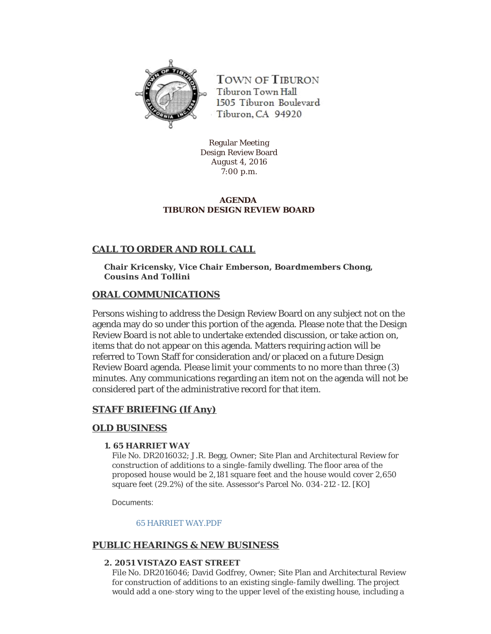

**TOWN OF TIBURON** Tiburon Town Hall 1505 Tiburon Boulevard Tiburon, CA 94920

Regular Meeting Design Review Board August 4, 2016 7:00 p.m.

### **AGENDA TIBURON DESIGN REVIEW BOARD**

# **CALL TO ORDER AND ROLL CALL**

**Chair Kricensky, Vice Chair Emberson, Boardmembers Chong, Cousins And Tollini**

# **ORAL COMMUNICATIONS**

Persons wishing to address the Design Review Board on any subject not on the agenda may do so under this portion of the agenda. Please note that the Design Review Board is not able to undertake extended discussion, or take action on, items that do not appear on this agenda. Matters requiring action will be referred to Town Staff for consideration and/or placed on a future Design Review Board agenda. Please limit your comments to no more than three (3) minutes. Any communications regarding an item not on the agenda will not be considered part of the administrative record for that item.

# **STAFF BRIEFING (If Any)**

# **OLD BUSINESS**

### **1. 65 HARRIET WAY**

File No. DR2016032; J.R. Begg, Owner; Site Plan and Architectural Review for construction of additions to a single-family dwelling. The floor area of the proposed house would be 2,181 square feet and the house would cover 2,650 square feet (29.2%) of the site. Assessor's Parcel No. 034-212 -12. [KO]

Documents:

[65 HARRIET WAY.PDF](http://www.townoftiburon.org/AgendaCenter/ViewFile/Item/2179?fileID=1237)

# **PUBLIC HEARINGS & NEW BUSINESS**

### **2. 2051 VISTAZO EAST STREET**

File No. DR2016046; David Godfrey, Owner; Site Plan and Architectural Review for construction of additions to an existing single-family dwelling. The project would add a one-story wing to the upper level of the existing house, including a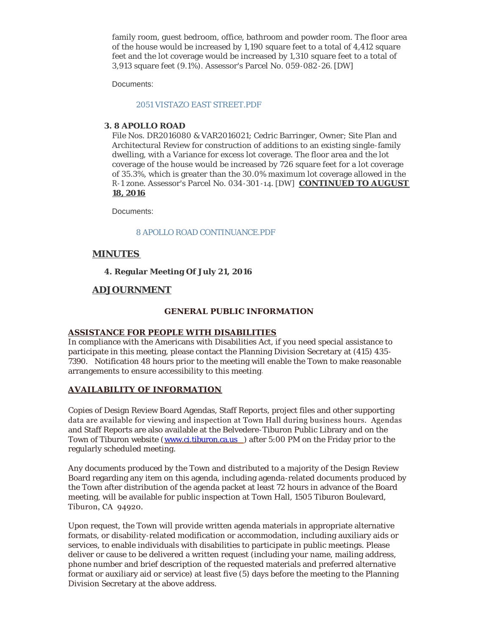family room, guest bedroom, office, bathroom and powder room. The floor area of the house would be increased by 1,190 square feet to a total of 4,412 square feet and the lot coverage would be increased by 1,310 square feet to a total of 3,913 square feet (9.1%). Assessor's Parcel No. 059-082 -26. [DW]

Documents:

#### [2051 VISTAZO EAST STREET.PDF](http://www.townoftiburon.org/AgendaCenter/ViewFile/Item/2180?fileID=1238)

#### **3. 8 APOLLO ROAD**

File Nos. DR2016080 & VAR2016021; Cedric Barringer, Owner; Site Plan and Architectural Review for construction of additions to an existing single-family dwelling, with a Variance for excess lot coverage. The floor area and the lot coverage of the house would be increased by  $726$  square feet for a lot coverage of 35.3%, which is greater than the 30.0% maximum lot coverage allowed in the R-1 zone. Assessor's Parcel No. 034-301 -14. [DW] **CONTINUED TO AUGUST 18, 2016**

Documents:

#### [8 APOLLO ROAD CONTINUANCE.PDF](http://www.townoftiburon.org/AgendaCenter/ViewFile/Item/2181?fileID=1239)

### **MINUTES**

### **4. Regular Meeting Of July 21, 2016**

### **ADJOURNMENT**

#### **GENERAL PUBLIC INFORMATION**

### **ASSISTANCE FOR PEOPLE WITH DISABILITIES**

In compliance with the Americans with Disabilities Act, if you need special assistance to participate in this meeting, please contact the Planning Division Secretary at (415) 435- 7390. Notification 48 hours prior to the meeting will enable the Town to make reasonable arrangements to ensure accessibility to this meeting.

### **AVAILABILITY OF INFORMATION**

Copies of Design Review Board Agendas, Staff Reports, project files and other supporting data are available for viewing and inspection at Town Hall during business hours. Agendas and Staff Reports are also available at the Belvedere-Tiburon Public Library and on the Town of Tiburon website ([www.ci.tiburon.ca.us](http://www.ci.tiburon.ca.us/) ) after 5:00 PM on the Friday prior to the regularly scheduled meeting.

Any documents produced by the Town and distributed to a majority of the Design Review Board regarding any item on this agenda, including agenda-related documents produced by the Town after distribution of the agenda packet at least 72 hours in advance of the Board meeting, will be available for public inspection at Town Hall, 1505 Tiburon Boulevard, Tiburon, CA 94920.

Upon request, the Town will provide written agenda materials in appropriate alternative formats, or disability-related modification or accommodation, including auxiliary aids or services, to enable individuals with disabilities to participate in public meetings. Please deliver or cause to be delivered a written request (including your name, mailing address, phone number and brief description of the requested materials and preferred alternative format or auxiliary aid or service) at least five (5) days before the meeting to the Planning Division Secretary at the above address.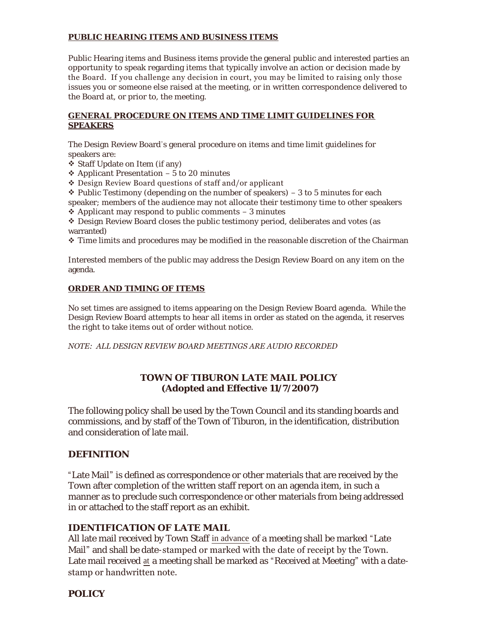### **PUBLIC HEARING ITEMS AND BUSINESS ITEMS**

Public Hearing items and Business items provide the general public and interested parties an opportunity to speak regarding items that typically involve an action or decision made by the Board. If you challenge any decision in court, you may be limited to raising only those issues you or someone else raised at the meeting, or in written correspondence delivered to the Board at, or prior to, the meeting.

### **GENERAL PROCEDURE ON ITEMS AND TIME LIMIT GUIDELINES FOR SPEAKERS**

The Design Review Board's general procedure on items and time limit guidelines for speakers are:

- $\overline{\mathbf{\hat{y}}}$  Staff Update on Item (if any)
- ❖ Applicant Presentation  $-5$  to 20 minutes
- v Design Review Board questions of staff and/or applicant
- $\div$  Public Testimony (depending on the number of speakers) 3 to 5 minutes for each speaker; members of the audience may not allocate their testimony time to other speakers
- $\triangle$  Applicant may respond to public comments 3 minutes

 $\triangle$  Design Review Board closes the public testimony period, deliberates and votes (as warranted)

 $\div$  Time limits and procedures may be modified in the reasonable discretion of the Chairman

Interested members of the public may address the Design Review Board on any item on the agenda.

### **ORDER AND TIMING OF ITEMS**

No set times are assigned to items appearing on the Design Review Board agenda. While the Design Review Board attempts to hear all items in order as stated on the agenda, it reserves the right to take items out of order without notice.

*NOTE: ALL DESIGN REVIEW BOARD MEETINGS ARE AUDIO RECORDED*

# **TOWN OF TIBURON LATE MAIL POLICY (Adopted and Effective 11/7/2007)**

The following policy shall be used by the Town Council and its standing boards and commissions, and by staff of the Town of Tiburon, in the identification, distribution and consideration of late mail.

# **DEFINITION**

"Late Mail" is defined as correspondence or other materials that are received by the Town after completion of the written staff report on an agenda item, in such a manner as to preclude such correspondence or other materials from being addressed in or attached to the staff report as an exhibit.

# **IDENTIFICATION OF LATE MAIL**

All late mail received by Town Staff in advance of a meeting shall be marked "Late Mail" and shall be date-stamped or marked with the date of receipt by the Town. Late mail received at a meeting shall be marked as "Received at Meeting" with a datestamp or handwritten note.

# **POLICY**